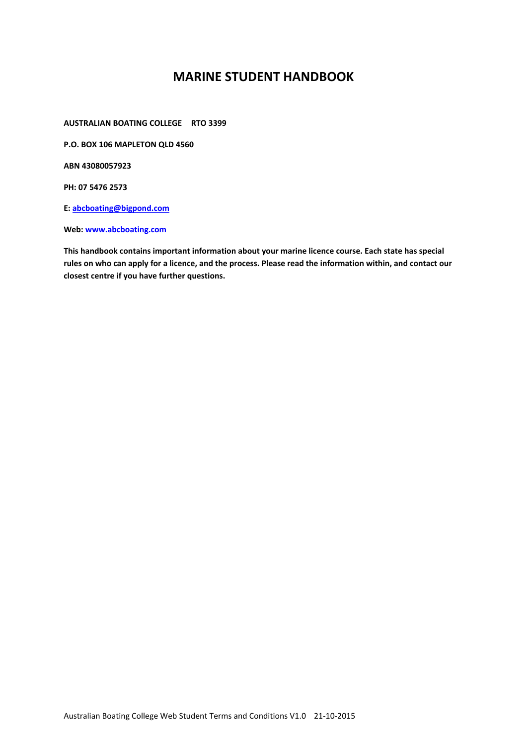# **MARINE STUDENT HANDBOOK**

**AUSTRALIAN BOATING COLLEGE RTO 3399** 

**P.O. BOX 106 MAPLETON QLD 4560** 

**ABN 43080057923** 

**PH: 07 5476 2573** 

**E: abcboating@bigpond.com** 

Web: www.abcboating.com

**This handbook contains important information about your marine licence course. Each state has special rules on who can apply for a licence, and the process. Please read the information within, and contact our closest centre if you have further questions.**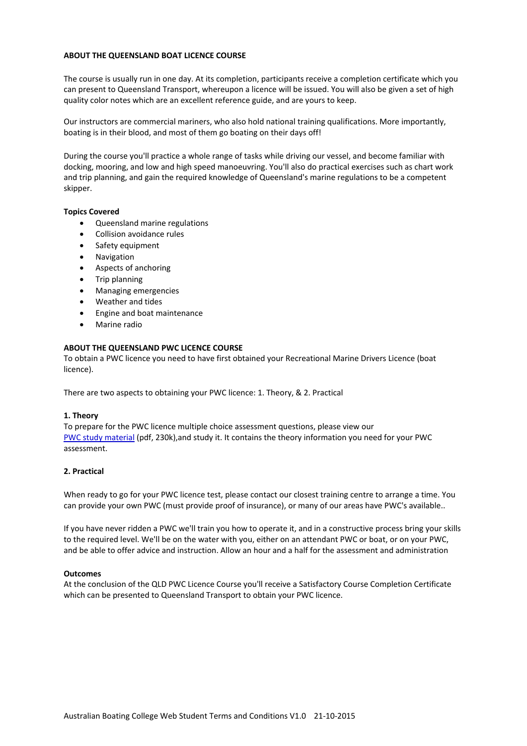## **ABOUT THE QUEENSLAND BOAT LICENCE COURSE**

The course is usually run in one day. At its completion, participants receive a completion certificate which you can present to Queensland Transport, whereupon a licence will be issued. You will also be given a set of high quality color notes which are an excellent reference guide, and are yours to keep.

Our instructors are commercial mariners, who also hold national training qualifications. More importantly, boating is in their blood, and most of them go boating on their days off!

During the course you'll practice a whole range of tasks while driving our vessel, and become familiar with docking, mooring, and low and high speed manoeuvring. You'll also do practical exercises such as chart work and trip planning, and gain the required knowledge of Queensland's marine regulations to be a competent skipper.

# **Topics Covered**

- Queensland marine regulations
- Collision avoidance rules
- Safety equipment
- Navigation
- Aspects of anchoring
- Trip planning
- Managing emergencies
- Weather and tides
- Engine and boat maintenance
- Marine radio

## **ABOUT THE QUEENSLAND PWC LICENCE COURSE**

To obtain a PWC licence you need to have first obtained your Recreational Marine Drivers Licence (boat licence).

There are two aspects to obtaining your PWC licence: 1. Theory, & 2. Practical

#### **1. Theory**

To prepare for the PWC licence multiple choice assessment questions, please view our PWC study material (pdf, 230k),and study it. It contains the theory information you need for your PWC assessment.

# **2. Practical**

When ready to go for your PWC licence test, please contact our closest training centre to arrange a time. You can provide your own PWC (must provide proof of insurance), or many of our areas have PWC's available..

If you have never ridden a PWC we'll train you how to operate it, and in a constructive process bring your skills to the required level. We'll be on the water with you, either on an attendant PWC or boat, or on your PWC, and be able to offer advice and instruction. Allow an hour and a half for the assessment and administration

#### **Outcomes**

At the conclusion of the QLD PWC Licence Course you'll receive a Satisfactory Course Completion Certificate which can be presented to Queensland Transport to obtain your PWC licence.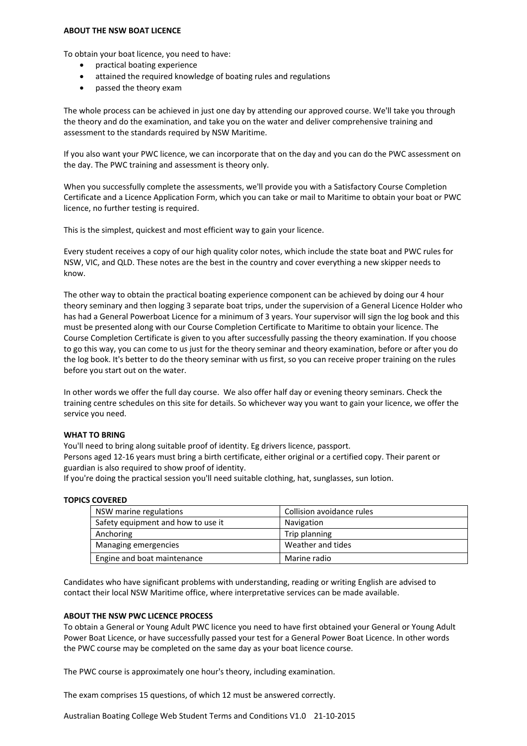#### **ABOUT THE NSW BOAT LICENCE**

To obtain your boat licence, you need to have:

- **•** practical boating experience
- attained the required knowledge of boating rules and regulations
- passed the theory exam

The whole process can be achieved in just one day by attending our approved course. We'll take you through the theory and do the examination, and take you on the water and deliver comprehensive training and assessment to the standards required by NSW Maritime.

If you also want your PWC licence, we can incorporate that on the day and you can do the PWC assessment on the day. The PWC training and assessment is theory only.

When you successfully complete the assessments, we'll provide you with a Satisfactory Course Completion Certificate and a Licence Application Form, which you can take or mail to Maritime to obtain your boat or PWC licence, no further testing is required.

This is the simplest, quickest and most efficient way to gain your licence.

Every student receives a copy of our high quality color notes, which include the state boat and PWC rules for NSW, VIC, and QLD. These notes are the best in the country and cover everything a new skipper needs to know.

The other way to obtain the practical boating experience component can be achieved by doing our 4 hour theory seminary and then logging 3 separate boat trips, under the supervision of a General Licence Holder who has had a General Powerboat Licence for a minimum of 3 years. Your supervisor will sign the log book and this must be presented along with our Course Completion Certificate to Maritime to obtain your licence. The Course Completion Certificate is given to you after successfully passing the theory examination. If you choose to go this way, you can come to us just for the theory seminar and theory examination, before or after you do the log book. It's better to do the theory seminar with us first, so you can receive proper training on the rules before you start out on the water.

In other words we offer the full day course. We also offer half day or evening theory seminars. Check the training centre schedules on this site for details. So whichever way you want to gain your licence, we offer the service you need.

#### **WHAT TO BRING**

You'll need to bring along suitable proof of identity. Eg drivers licence, passport.

Persons aged 12‐16 years must bring a birth certificate, either original or a certified copy. Their parent or guardian is also required to show proof of identity.

If you're doing the practical session you'll need suitable clothing, hat, sunglasses, sun lotion.

# **TOPICS COVERED**

| NSW marine regulations             | Collision avoidance rules |
|------------------------------------|---------------------------|
| Safety equipment and how to use it | Navigation                |
| Anchoring                          | Trip planning             |
| Managing emergencies               | Weather and tides         |
| Engine and boat maintenance        | Marine radio              |

Candidates who have significant problems with understanding, reading or writing English are advised to contact their local NSW Maritime office, where interpretative services can be made available.

# **ABOUT THE NSW PWC LICENCE PROCESS**

To obtain a General or Young Adult PWC licence you need to have first obtained your General or Young Adult Power Boat Licence, or have successfully passed your test for a General Power Boat Licence. In other words the PWC course may be completed on the same day as your boat licence course.

The PWC course is approximately one hour's theory, including examination.

The exam comprises 15 questions, of which 12 must be answered correctly.

Australian Boating College Web Student Terms and Conditions V1.0 21‐10‐2015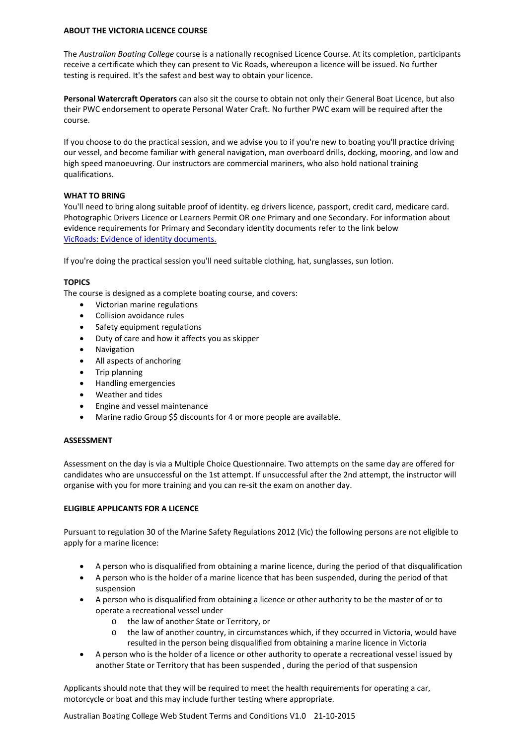## **ABOUT THE VICTORIA LICENCE COURSE**

The *Australian Boating College* course is a nationally recognised Licence Course. At its completion, participants receive a certificate which they can present to Vic Roads, whereupon a licence will be issued. No further testing is required. It's the safest and best way to obtain your licence.

**Personal Watercraft Operators** can also sit the course to obtain not only their General Boat Licence, but also their PWC endorsement to operate Personal Water Craft. No further PWC exam will be required after the course.

If you choose to do the practical session, and we advise you to if you're new to boating you'll practice driving our vessel, and become familiar with general navigation, man overboard drills, docking, mooring, and low and high speed manoeuvring. Our instructors are commercial mariners, who also hold national training qualifications.

# **WHAT TO BRING**

You'll need to bring along suitable proof of identity. eg drivers licence, passport, credit card, medicare card. Photographic Drivers Licence or Learners Permit OR one Primary and one Secondary. For information about evidence requirements for Primary and Secondary identity documents refer to the link below VicRoads: Evidence of identity documents.

If you're doing the practical session you'll need suitable clothing, hat, sunglasses, sun lotion.

# **TOPICS**

The course is designed as a complete boating course, and covers:

- Victorian marine regulations
- Collision avoidance rules
- Safety equipment regulations
- Duty of care and how it affects you as skipper
- Navigation
- All aspects of anchoring
- Trip planning
- Handling emergencies
- Weather and tides
- Engine and vessel maintenance
- Marine radio Group \$\$ discounts for 4 or more people are available.

# **ASSESSMENT**

Assessment on the day is via a Multiple Choice Questionnaire. Two attempts on the same day are offered for candidates who are unsuccessful on the 1st attempt. If unsuccessful after the 2nd attempt, the instructor will organise with you for more training and you can re‐sit the exam on another day.

# **ELIGIBLE APPLICANTS FOR A LICENCE**

Pursuant to regulation 30 of the Marine Safety Regulations 2012 (Vic) the following persons are not eligible to apply for a marine licence:

- A person who is disqualified from obtaining a marine licence, during the period of that disqualification
- A person who is the holder of a marine licence that has been suspended, during the period of that suspension
- A person who is disqualified from obtaining a licence or other authority to be the master of or to operate a recreational vessel under
	- o the law of another State or Territory, or
	- the law of another country, in circumstances which, if they occurred in Victoria, would have resulted in the person being disqualified from obtaining a marine licence in Victoria
- A person who is the holder of a licence or other authority to operate a recreational vessel issued by another State or Territory that has been suspended , during the period of that suspension

Applicants should note that they will be required to meet the health requirements for operating a car, motorcycle or boat and this may include further testing where appropriate.

Australian Boating College Web Student Terms and Conditions V1.0 21‐10‐2015